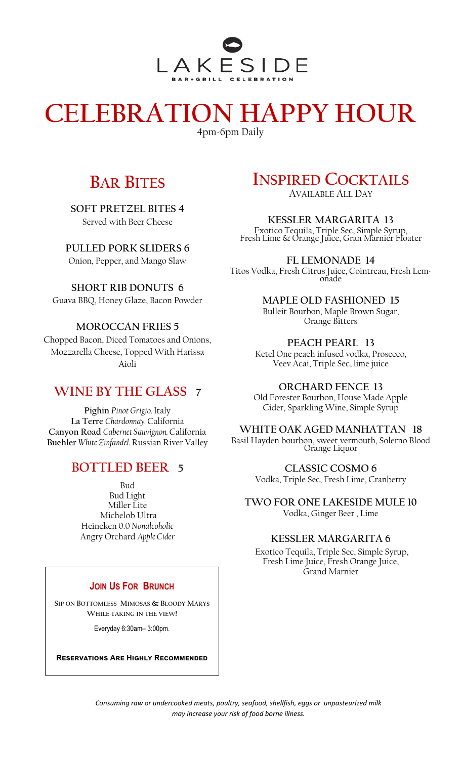

# **CELEBRATION HAPPY HOUR**

4pm-6pm Daily

## **BAR BITES**

**SOFT PRETZEL BITES 4** Served with Beer Cheese

**PULLED PORK SLIDERS 6** 

Onion, Pepper, and Mango Slaw

**SHORT RIB DONUTS 6**  Guava BBQ, Honey Glaze, Bacon Powder

#### **MOROCCAN FRIES 5**

Chopped Bacon, Diced Tomatoes and Onions, Mozzarella Cheese, Topped With Harissa Aioli

## **WINE BY THE GLASS 7**

**Pighin** *Pinot Grigio.* Italy **La Terre** *Chardonnay.* California **Canyon Road** *Cabernet Sauvignon.* California **Buehler** *White Zinfandel.* Russian River Valley

## **BOTTLED BEER 5**

Bud Bud Light Miller Lite Michelob Ultra Heineken 0.0 *Nonalcoholic* Angry Orchard *Apple Cider*

#### **JOIN US FOR BRUNCH**

**SIP ON BOTTOMLESS MIMOSAS & BLOODY MARYS WHILE TAKING IN THE VIEW!** 

Everyday 6:30am– 3:00pm.

**Reservations Are Highly Recommended**

# **INSPIRED COCKTAILS**

AVAILABLE ALL DAY

**KESSLER MARGARITA 13** Exotico Tequila, Triple Sec, Simple Syrup, Fresh Lime & Orange Juice, Gran Marnier Floater

**FL LEMONADE 14** Titos Vodka, Fresh Citrus Juice, Cointreau, Fresh Lemonade

## **MAPLE OLD FASHIONED 15**

Bulleit Bourbon, Maple Brown Sugar, Orange Bitters

#### **PEACH PEARL 13**

Ketel One peach infused vodka, Prosecco, Veev Acai, Triple Sec, lime juice

**ORCHARD FENCE 13**

Old Forester Bourbon, House Made Apple Cider, Sparkling Wine, Simple Syrup

#### **WHITE OAK AGED MANHATTAN 18**

Basil Hayden bourbon, sweet vermouth, Solerno Blood Orange Liquor

> **CLASSIC COSMO 6**  Vodka, Triple Sec, Fresh Lime, Cranberry

**TWO FOR ONE LAKESIDE MULE 10**  Vodka, Ginger Beer , Lime

#### **KESSLER MARGARITA 6**

Exotico Tequila, Triple Sec, Simple Syrup, Fresh Lime Juice, Fresh Orange Juice, Grand Marnier

*Consuming raw or undercooked meats, poultry, seafood, shellfish, eggs or unpasteurized milk may increase your risk of food borne illness.*